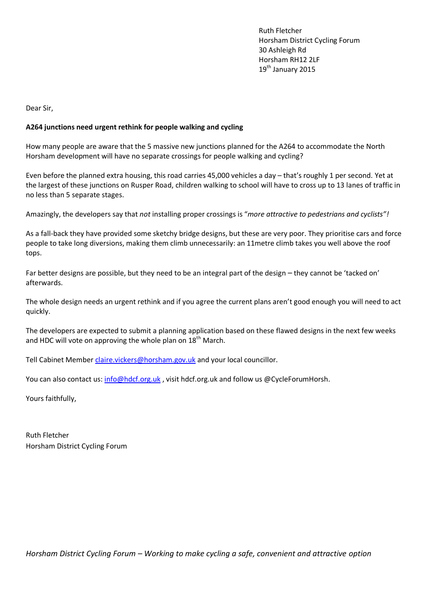Ruth Fletcher Horsham District Cycling Forum 30 Ashleigh Rd Horsham RH12 2LF 19<sup>th</sup> January 2015

Dear Sir,

## **A264 junctions need urgent rethink for people walking and cycling**

How many people are aware that the 5 massive new junctions planned for the A264 to accommodate the North Horsham development will have no separate crossings for people walking and cycling?

Even before the planned extra housing, this road carries 45,000 vehicles a day – that's roughly 1 per second. Yet at the largest of these junctions on Rusper Road, children walking to school will have to cross up to 13 lanes of traffic in no less than 5 separate stages.

Amazingly, the developers say that *not* installing proper crossings is "*more attractive to pedestrians and cyclists"!*

As a fall-back they have provided some sketchy bridge designs, but these are very poor. They prioritise cars and force people to take long diversions, making them climb unnecessarily: an 11metre climb takes you well above the roof tops.

Far better designs are possible, but they need to be an integral part of the design – they cannot be 'tacked on' afterwards.

The whole design needs an urgent rethink and if you agree the current plans aren't good enough you will need to act quickly.

The developers are expected to submit a planning application based on these flawed designs in the next few weeks and HDC will vote on approving the whole plan on 18<sup>th</sup> March.

Tell Cabinet Member [claire.vickers@horsham.gov.uk](mailto:claire.vickers@horsham.gov.uk) and your local councillor.

You can also contact us: [info@hdcf.org.uk](mailto:info@hdcf.org.uk), visit hdcf.org.uk and follow us @CycleForumHorsh.

Yours faithfully,

Ruth Fletcher Horsham District Cycling Forum

*Horsham District Cycling Forum – Working to make cycling a safe, convenient and attractive option*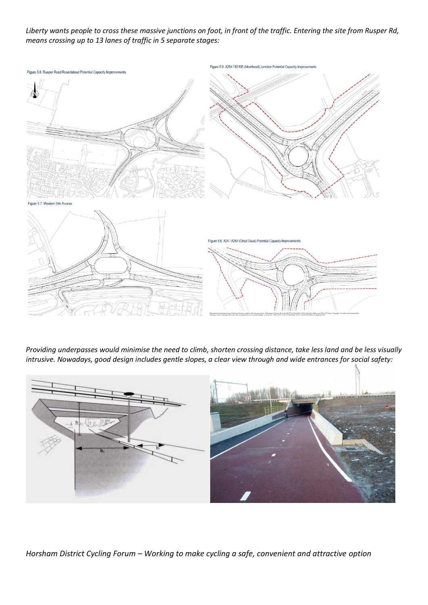*Liberty wants people to cross these massive junctions on foot, in front of the traffic. Entering the site from Rusper Rd, means crossing up to 13 lanes of traffic in 5 separate stages:*



*Providing underpasses would minimise the need to climb, shorten crossing distance, take less land and be less visually intrusive. Nowadays, good design includes gentle slopes, a clear view through and wide entrances for social safety:*



*Horsham District Cycling Forum – Working to make cycling a safe, convenient and attractive option*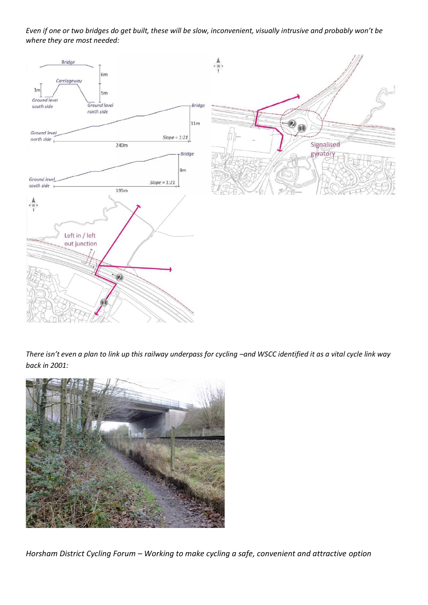*Even if one or two bridges do get built, these will be slow, inconvenient, visually intrusive and probably won't be where they are most needed:*



*There isn't even a plan to link up this railway underpass for cycling –and WSCC identified it as a vital cycle link way back in 2001:*



*Horsham District Cycling Forum – Working to make cycling a safe, convenient and attractive option*